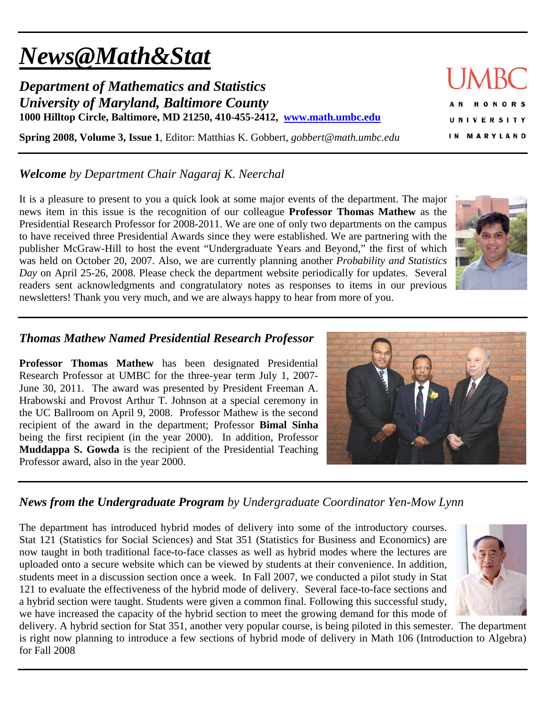# *News@Math&Stat*

*Department of Mathematics and Statistics University of Maryland, Baltimore County*  **1000 Hilltop Circle, Baltimore, MD 21250, 410-455-2412, www.math.umbc.edu**

**Spring 2008, Volume 3, Issue 1**, Editor: Matthias K. Gobbert, *gobbert@math.umbc.edu* 

## *Welcome by Department Chair Nagaraj K. Neerchal*

It is a pleasure to present to you a quick look at some major events of the department. The major news item in this issue is the recognition of our colleague **Professor Thomas Mathew** as the Presidential Research Professor for 2008-2011. We are one of only two departments on the campus to have received three Presidential Awards since they were established. We are partnering with the publisher McGraw-Hill to host the event "Undergraduate Years and Beyond," the first of which was held on October 20, 2007. Also, we are currently planning another *Probability and Statistics Day* on April 25-26, 2008. Please check the department website periodically for updates. Several readers sent acknowledgments and congratulatory notes as responses to items in our previous newsletters! Thank you very much, and we are always happy to hear from more of you.

#### *Thomas Mathew Named Presidential Research Professor*

**Professor Thomas Mathew** has been designated Presidential Research Professor at UMBC for the three-year term July 1, 2007- June 30, 2011. The award was presented by President Freeman A. Hrabowski and Provost Arthur T. Johnson at a special ceremony in the UC Ballroom on April 9, 2008. Professor Mathew is the second recipient of the award in the department; Professor **Bimal Sinha** being the first recipient (in the year 2000). In addition, Professor **Muddappa S. Gowda** is the recipient of the Presidential Teaching Professor award, also in the year 2000.

#### *News from the Undergraduate Program by Undergraduate Coordinator Yen-Mow Lynn*

The department has introduced hybrid modes of delivery into some of the introductory courses. Stat 121 (Statistics for Social Sciences) and Stat 351 (Statistics for Business and Economics) are now taught in both traditional face-to-face classes as well as hybrid modes where the lectures are uploaded onto a secure website which can be viewed by students at their convenience. In addition, students meet in a discussion section once a week. In Fall 2007, we conducted a pilot study in Stat 121 to evaluate the effectiveness of the hybrid mode of delivery. Several face-to-face sections and a hybrid section were taught. Students were given a common final. Following this successful study, we have increased the capacity of the hybrid section to meet the growing demand for this mode of

delivery. A hybrid section for Stat 351, another very popular course, is being piloted in this semester. The department is right now planning to introduce a few sections of hybrid mode of delivery in Math 106 (Introduction to Algebra) for Fall 2008





ONORS U N I V E R S I T Y IN MARYLAND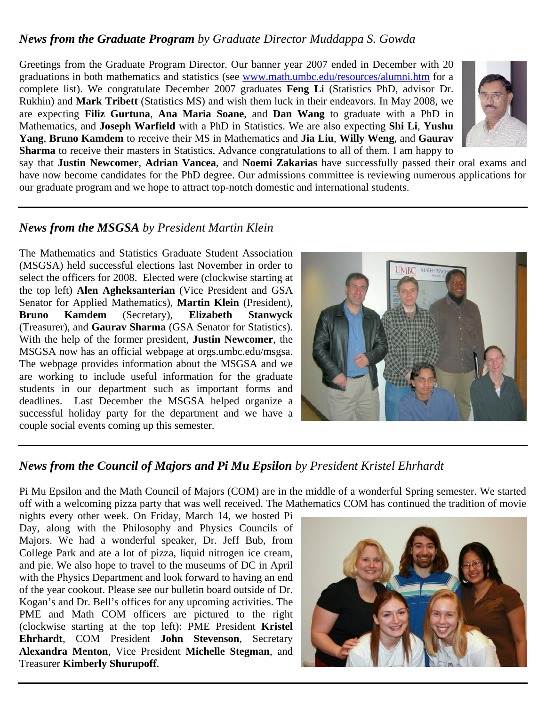#### *News from the Graduate Program by Graduate Director Muddappa S. Gowda*

Greetings from the Graduate Program Director. Our banner year 2007 ended in December with 20 graduations in both mathematics and statistics (see www.math.umbc.edu/resources/alumni.htm for a complete list). We congratulate December 2007 graduates **Feng Li** (Statistics PhD, advisor Dr. Rukhin) and **Mark Tribett** (Statistics MS) and wish them luck in their endeavors. In May 2008, we are expecting **Filiz Gurtuna**, **Ana Maria Soane**, and **Dan Wang** to graduate with a PhD in Mathematics, and **Joseph Warfield** with a PhD in Statistics. We are also expecting **Shi Li**, **Yushu Yang**, **Bruno Kamdem** to receive their MS in Mathematics and **Jia Liu**, **Willy Weng**, and **Gaurav Sharma** to receive their masters in Statistics. Advance congratulations to all of them. I am happy to



say that **Justin Newcomer**, **Adrian Vancea**, and **Noemi Zakarias** have successfully passed their oral exams and have now become candidates for the PhD degree. Our admissions committee is reviewing numerous applications for our graduate program and we hope to attract top-notch domestic and international students.

#### *News from the MSGSA by President Martin Klein*

The Mathematics and Statistics Graduate Student Association (MSGSA) held successful elections last November in order to select the officers for 2008. Elected were (clockwise starting at the top left) **Alen Agheksanterian** (Vice President and GSA Senator for Applied Mathematics), **Martin Klein** (President), **Bruno Kamdem** (Secretary), **Elizabeth Stanwyck** (Treasurer), and **Gaurav Sharma** (GSA Senator for Statistics). With the help of the former president, **Justin Newcomer**, the MSGSA now has an official webpage at orgs.umbc.edu/msgsa. The webpage provides information about the MSGSA and we are working to include useful information for the graduate students in our department such as important forms and deadlines. Last December the MSGSA helped organize a successful holiday party for the department and we have a couple social events coming up this semester.



## *News from the Council of Majors and Pi Mu Epsilon by President Kristel Ehrhardt*

Pi Mu Epsilon and the Math Council of Majors (COM) are in the middle of a wonderful Spring semester. We started off with a welcoming pizza party that was well received. The Mathematics COM has continued the tradition of movie

nights every other week. On Friday, March 14, we hosted Pi Day, along with the Philosophy and Physics Councils of Majors. We had a wonderful speaker, Dr. Jeff Bub, from College Park and ate a lot of pizza, liquid nitrogen ice cream, and pie. We also hope to travel to the museums of DC in April with the Physics Department and look forward to having an end of the year cookout. Please see our bulletin board outside of Dr. Kogan's and Dr. Bell's offices for any upcoming activities. The PME and Math COM officers are pictured to the right (clockwise starting at the top left): PME President **Kristel Ehrhardt**, COM President **John Stevenson**, Secretary **Alexandra Menton**, Vice President **Michelle Stegman**, and Treasurer **Kimberly Shurupoff**.

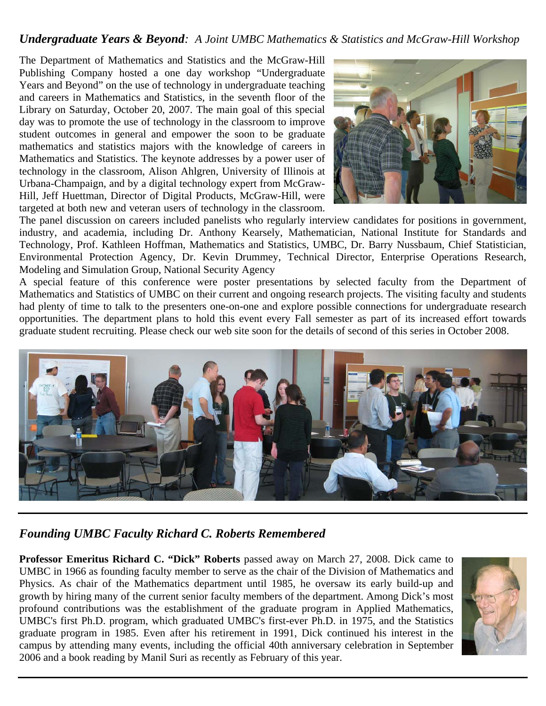#### *Undergraduate Years & Beyond: A Joint UMBC Mathematics & Statistics and McGraw-Hill Workshop*

The Department of Mathematics and Statistics and the McGraw-Hill Publishing Company hosted a one day workshop "Undergraduate Years and Beyond" on the use of technology in undergraduate teaching and careers in Mathematics and Statistics, in the seventh floor of the Library on Saturday, October 20, 2007. The main goal of this special day was to promote the use of technology in the classroom to improve student outcomes in general and empower the soon to be graduate mathematics and statistics majors with the knowledge of careers in Mathematics and Statistics. The keynote addresses by a power user of technology in the classroom, Alison Ahlgren, University of Illinois at Urbana-Champaign, and by a digital technology expert from McGraw-Hill, Jeff Huettman, Director of Digital Products, McGraw-Hill, were targeted at both new and veteran users of technology in the classroom.



The panel discussion on careers included panelists who regularly interview candidates for positions in government, industry, and academia, including Dr. Anthony Kearsely, Mathematician, National Institute for Standards and Technology, Prof. Kathleen Hoffman, Mathematics and Statistics, UMBC, Dr. Barry Nussbaum, Chief Statistician, Environmental Protection Agency, Dr. Kevin Drummey, Technical Director, Enterprise Operations Research, Modeling and Simulation Group, National Security Agency

A special feature of this conference were poster presentations by selected faculty from the Department of Mathematics and Statistics of UMBC on their current and ongoing research projects. The visiting faculty and students had plenty of time to talk to the presenters one-on-one and explore possible connections for undergraduate research opportunities. The department plans to hold this event every Fall semester as part of its increased effort towards graduate student recruiting. Please check our web site soon for the details of second of this series in October 2008.



## *Founding UMBC Faculty Richard C. Roberts Remembered*

**Professor Emeritus Richard C. "Dick" Roberts** passed away on March 27, 2008. Dick came to UMBC in 1966 as founding faculty member to serve as the chair of the Division of Mathematics and Physics. As chair of the Mathematics department until 1985, he oversaw its early build-up and growth by hiring many of the current senior faculty members of the department. Among Dick's most profound contributions was the establishment of the graduate program in Applied Mathematics, UMBC's first Ph.D. program, which graduated UMBC's first-ever Ph.D. in 1975, and the Statistics graduate program in 1985. Even after his retirement in 1991, Dick continued his interest in the campus by attending many events, including the official 40th anniversary celebration in September 2006 and a book reading by Manil Suri as recently as February of this year.